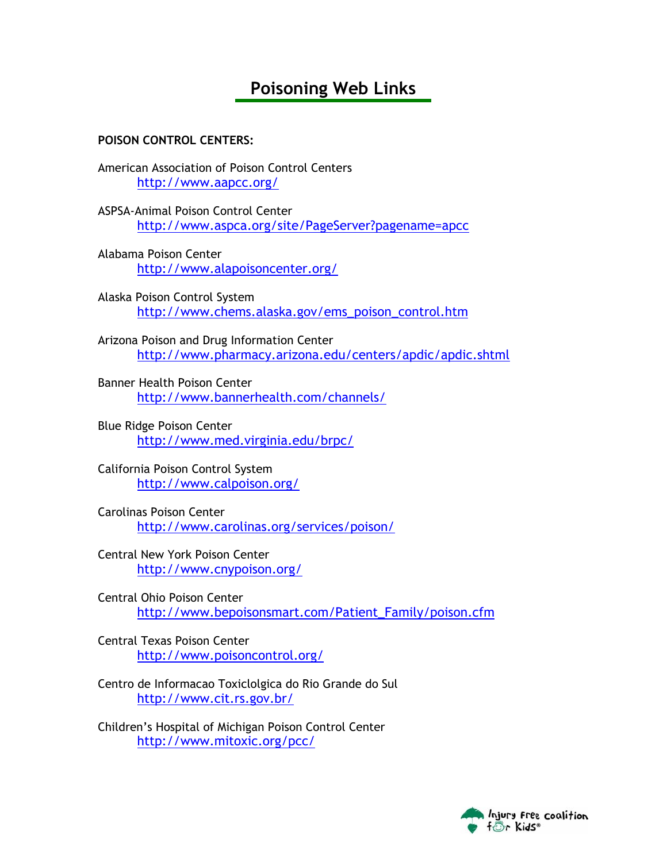# **Poisoning Web Links**

## **POISON CONTROL CENTERS:**

American Association of Poison Control Centers http://www.aapcc.org/

ASPSA-Animal Poison Control Center http://www.aspca.org/site/PageServer?pagename=apcc

- Alabama Poison Center http://www.alapoisoncenter.org/
- Alaska Poison Control System http://www.chems.alaska.gov/ems\_poison\_control.htm

Arizona Poison and Drug Information Center http://www.pharmacy.arizona.edu/centers/apdic/apdic.shtml

Banner Health Poison Center http://www.bannerhealth.com/channels/

Blue Ridge Poison Center http://www.med.virginia.edu/brpc/

California Poison Control System http://www.calpoison.org/

Carolinas Poison Center http://www.carolinas.org/services/poison/

Central New York Poison Center http://www.cnypoison.org/

Central Ohio Poison Center http://www.bepoisonsmart.com/Patient\_Family/poison.cfm

Central Texas Poison Center http://www.poisoncontrol.org/

Centro de Informacao Toxiclolgica do Rio Grande do Sul http://www.cit.rs.gov.br/

Children's Hospital of Michigan Poison Control Center http://www.mitoxic.org/pcc/

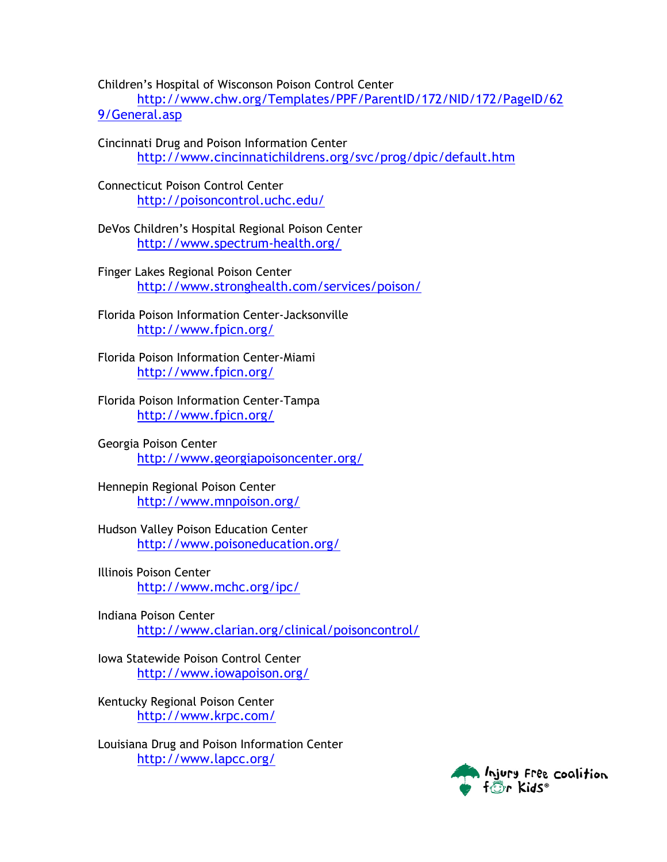Children's Hospital of Wisconson Poison Control Center

http://www.chw.org/Templates/PPF/ParentID/172/NID/172/PageID/62 9/General.asp

Cincinnati Drug and Poison Information Center http://www.cincinnatichildrens.org/svc/prog/dpic/default.htm

Connecticut Poison Control Center http://poisoncontrol.uchc.edu/

DeVos Children's Hospital Regional Poison Center http://www.spectrum-health.org/

Finger Lakes Regional Poison Center http://www.stronghealth.com/services/poison/

Florida Poison Information Center-Jacksonville http://www.fpicn.org/

Florida Poison Information Center-Miami http://www.fpicn.org/

Florida Poison Information Center-Tampa http://www.fpicn.org/

Georgia Poison Center http://www.georgiapoisoncenter.org/

Hennepin Regional Poison Center http://www.mnpoison.org/

Hudson Valley Poison Education Center http://www.poisoneducation.org/

Illinois Poison Center http://www.mchc.org/ipc/

Indiana Poison Center http://www.clarian.org/clinical/poisoncontrol/

Iowa Statewide Poison Control Center http://www.iowapoison.org/

Kentucky Regional Poison Center http://www.krpc.com/

Louisiana Drug and Poison Information Center http://www.lapcc.org/

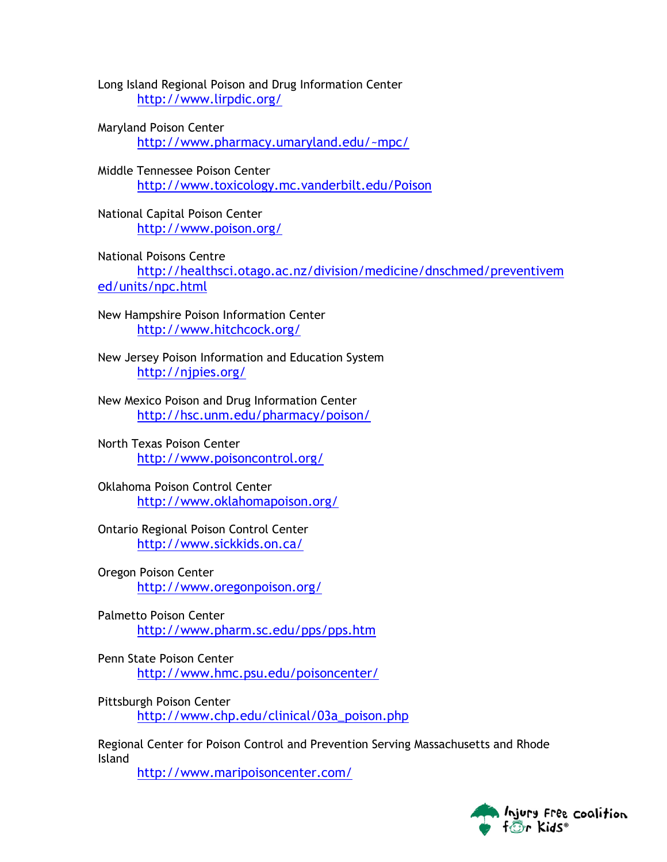Long Island Regional Poison and Drug Information Center http://www.lirpdic.org/

- Maryland Poison Center http://www.pharmacy.umaryland.edu/~mpc/
- Middle Tennessee Poison Center http://www.toxicology.mc.vanderbilt.edu/Poison
- National Capital Poison Center http://www.poison.org/

National Poisons Centre http://healthsci.otago.ac.nz/division/medicine/dnschmed/preventivem ed/units/npc.html

New Hampshire Poison Information Center http://www.hitchcock.org/

New Jersey Poison Information and Education System http://njpies.org/

New Mexico Poison and Drug Information Center http://hsc.unm.edu/pharmacy/poison/

North Texas Poison Center http://www.poisoncontrol.org/

Oklahoma Poison Control Center http://www.oklahomapoison.org/

Ontario Regional Poison Control Center http://www.sickkids.on.ca/

- Oregon Poison Center http://www.oregonpoison.org/
- Palmetto Poison Center http://www.pharm.sc.edu/pps/pps.htm

Penn State Poison Center http://www.hmc.psu.edu/poisoncenter/

Pittsburgh Poison Center http://www.chp.edu/clinical/03a\_poison.php

Regional Center for Poison Control and Prevention Serving Massachusetts and Rhode Island

http://www.maripoisoncenter.com/

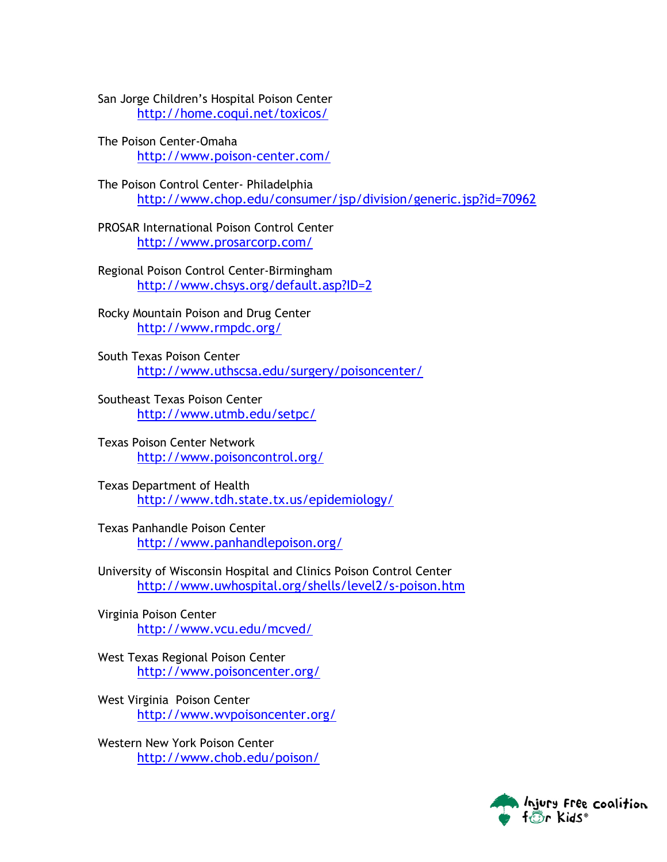San Jorge Children's Hospital Poison Center http://home.coqui.net/toxicos/

The Poison Center-Omaha http://www.poison-center.com/

The Poison Control Center- Philadelphia http://www.chop.edu/consumer/jsp/division/generic.jsp?id=70962

PROSAR International Poison Control Center http://www.prosarcorp.com/

Regional Poison Control Center-Birmingham http://www.chsys.org/default.asp?ID=2

Rocky Mountain Poison and Drug Center http://www.rmpdc.org/

South Texas Poison Center http://www.uthscsa.edu/surgery/poisoncenter/

Southeast Texas Poison Center http://www.utmb.edu/setpc/

Texas Poison Center Network http://www.poisoncontrol.org/

Texas Department of Health http://www.tdh.state.tx.us/epidemiology/

Texas Panhandle Poison Center http://www.panhandlepoison.org/

University of Wisconsin Hospital and Clinics Poison Control Center http://www.uwhospital.org/shells/level2/s-poison.htm

Virginia Poison Center http://www.vcu.edu/mcved/

West Texas Regional Poison Center http://www.poisoncenter.org/

West Virginia Poison Center http://www.wvpoisoncenter.org/

Western New York Poison Center http://www.chob.edu/poison/

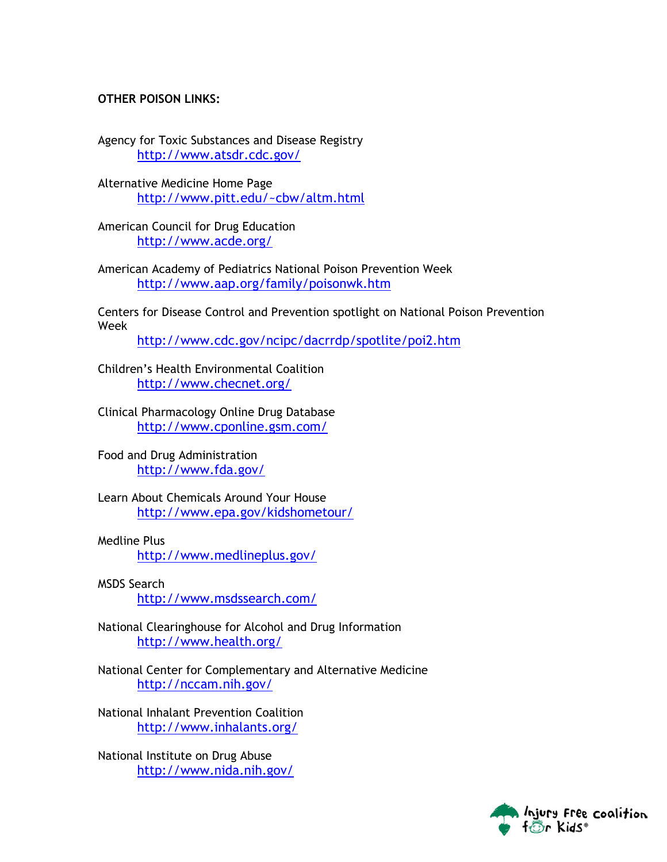#### **OTHER POISON LINKS:**

Agency for Toxic Substances and Disease Registry http://www.atsdr.cdc.gov/

Alternative Medicine Home Page http://www.pitt.edu/~cbw/altm.html

American Council for Drug Education http://www.acde.org/

American Academy of Pediatrics National Poison Prevention Week http://www.aap.org/family/poisonwk.htm

Centers for Disease Control and Prevention spotlight on National Poison Prevention Week

http://www.cdc.gov/ncipc/dacrrdp/spotlite/poi2.htm

Children's Health Environmental Coalition http://www.checnet.org/

Clinical Pharmacology Online Drug Database http://www.cponline.gsm.com/

Food and Drug Administration http://www.fda.gov/

Learn About Chemicals Around Your House http://www.epa.gov/kidshometour/

## Medline Plus

http://www.medlineplus.gov/

MSDS Search http://www.msdssearch.com/

National Clearinghouse for Alcohol and Drug Information http://www.health.org/

National Center for Complementary and Alternative Medicine http://nccam.nih.gov/

National Inhalant Prevention Coalition http://www.inhalants.org/

National Institute on Drug Abuse http://www.nida.nih.gov/